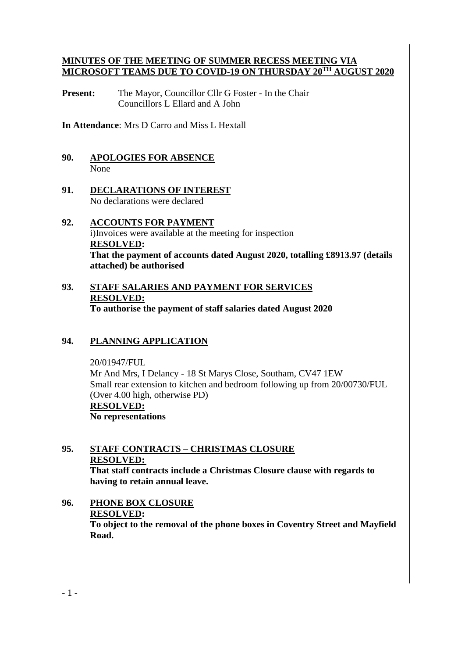#### **MINUTES OF THE MEETING OF SUMMER RECESS MEETING VIA MICROSOFT TEAMS DUE TO COVID-19 ON THURSDAY 20TH AUGUST 2020**

**Present:** The Mayor, Councillor Cllr G Foster - In the Chair Councillors L Ellard and A John

**In Attendance**: Mrs D Carro and Miss L Hextall

### **90. APOLOGIES FOR ABSENCE** None

- **91. DECLARATIONS OF INTEREST** No declarations were declared
- **92. ACCOUNTS FOR PAYMENT** i)Invoices were available at the meeting for inspection **RESOLVED: That the payment of accounts dated August 2020, totalling £8913.97 (details attached) be authorised**
- **93. STAFF SALARIES AND PAYMENT FOR SERVICES RESOLVED: To authorise the payment of staff salaries dated August 2020**

## **94. PLANNING APPLICATION**

20/01947/FUL Mr And Mrs, I Delancy - 18 St Marys Close, Southam, CV47 1EW Small rear extension to kitchen and bedroom following up from 20/00730/FUL (Over 4.00 high, otherwise PD) **RESOLVED: No representations**

#### **95. STAFF CONTRACTS – CHRISTMAS CLOSURE RESOLVED: That staff contracts include a Christmas Closure clause with regards to having to retain annual leave.**

**96. PHONE BOX CLOSURE RESOLVED: To object to the removal of the phone boxes in Coventry Street and Mayfield Road.**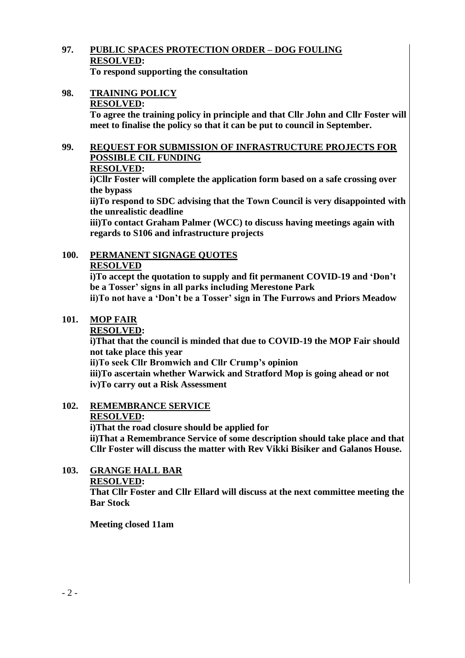#### **97. PUBLIC SPACES PROTECTION ORDER – DOG FOULING RESOLVED: To respond supporting the consultation**

**98. TRAINING POLICY RESOLVED:**

> **To agree the training policy in principle and that Cllr John and Cllr Foster will meet to finalise the policy so that it can be put to council in September.**

## **99. REQUEST FOR SUBMISSION OF INFRASTRUCTURE PROJECTS FOR POSSIBLE CIL FUNDING**

## **RESOLVED:**

**i)Cllr Foster will complete the application form based on a safe crossing over the bypass**

**ii)To respond to SDC advising that the Town Council is very disappointed with the unrealistic deadline** 

**iii)To contact Graham Palmer (WCC) to discuss having meetings again with regards to S106 and infrastructure projects**

#### **100. PERMANENT SIGNAGE QUOTES RESOLVED**

**i)To accept the quotation to supply and fit permanent COVID-19 and 'Don't be a Tosser' signs in all parks including Merestone Park**

**ii)To not have a 'Don't be a Tosser' sign in The Furrows and Priors Meadow**

# **101. MOP FAIR**

## **RESOLVED:**

**i)That that the council is minded that due to COVID-19 the MOP Fair should not take place this year**

**ii)To seek Cllr Bromwich and Cllr Crump's opinion**

**iii)To ascertain whether Warwick and Stratford Mop is going ahead or not iv)To carry out a Risk Assessment**

# **102. REMEMBRANCE SERVICE**

## **RESOLVED:**

**i)That the road closure should be applied for**

**ii)That a Remembrance Service of some description should take place and that Cllr Foster will discuss the matter with Rev Vikki Bisiker and Galanos House.**

**103. GRANGE HALL BAR RESOLVED:**

**That Cllr Foster and Cllr Ellard will discuss at the next committee meeting the Bar Stock** 

**Meeting closed 11am**